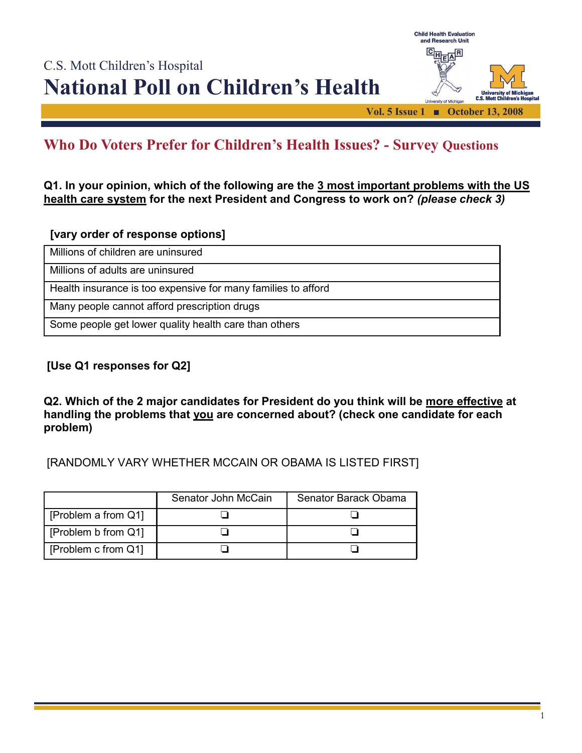

# **Who Do Voters Prefer for Children's Health Issues? - Survey Questions**

**Q1. In your opinion, which of the following are the 3 most important problems with the US health care system for the next President and Congress to work on?** *(please check 3)* 

## **[vary order of response options]**

Millions of children are uninsured

Millions of adults are uninsured

Health insurance is too expensive for many families to afford

Many people cannot afford prescription drugs

Some people get lower quality health care than others

# **[Use Q1 responses for Q2]**

**Q2. Which of the 2 major candidates for President do you think will be more effective at handling the problems that you are concerned about? (check one candidate for each problem)** 

[RANDOMLY VARY WHETHER MCCAIN OR OBAMA IS LISTED FIRST]

|                     | Senator John McCain | Senator Barack Obama |
|---------------------|---------------------|----------------------|
| [Problem a from Q1] |                     |                      |
| Froblem b from Q11  |                     |                      |
| Froblem c from Q11  |                     |                      |